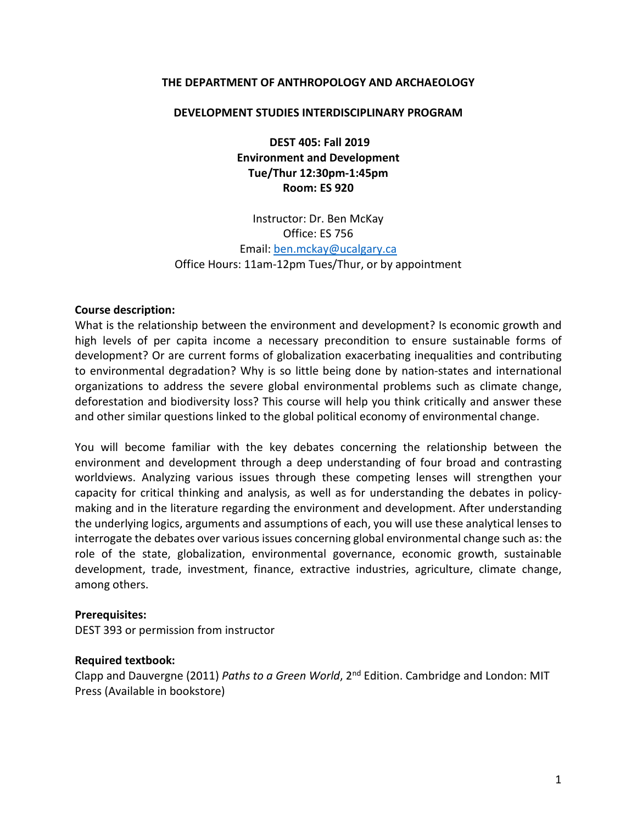#### **THE DEPARTMENT OF ANTHROPOLOGY AND ARCHAEOLOGY**

#### **DEVELOPMENT STUDIES INTERDISCIPLINARY PROGRAM**

**DEST 405: Fall 2019 Environment and Development Tue/Thur 12:30pm-1:45pm Room: ES 920**

Instructor: Dr. Ben McKay Office: ES 756 Email: [ben.mckay@ucalgary.ca](mailto:ben.mckay@ucalgary.ca) Office Hours: 11am-12pm Tues/Thur, or by appointment

#### **Course description:**

What is the relationship between the environment and development? Is economic growth and high levels of per capita income a necessary precondition to ensure sustainable forms of development? Or are current forms of globalization exacerbating inequalities and contributing to environmental degradation? Why is so little being done by nation-states and international organizations to address the severe global environmental problems such as climate change, deforestation and biodiversity loss? This course will help you think critically and answer these and other similar questions linked to the global political economy of environmental change.

You will become familiar with the key debates concerning the relationship between the environment and development through a deep understanding of four broad and contrasting worldviews. Analyzing various issues through these competing lenses will strengthen your capacity for critical thinking and analysis, as well as for understanding the debates in policymaking and in the literature regarding the environment and development. After understanding the underlying logics, arguments and assumptions of each, you will use these analytical lenses to interrogate the debates over various issues concerning global environmental change such as: the role of the state, globalization, environmental governance, economic growth, sustainable development, trade, investment, finance, extractive industries, agriculture, climate change, among others.

#### **Prerequisites:**

DEST 393 or permission from instructor

#### **Required textbook:**

Clapp and Dauvergne (2011) *Paths to a Green World*, 2nd Edition. Cambridge and London: MIT Press (Available in bookstore)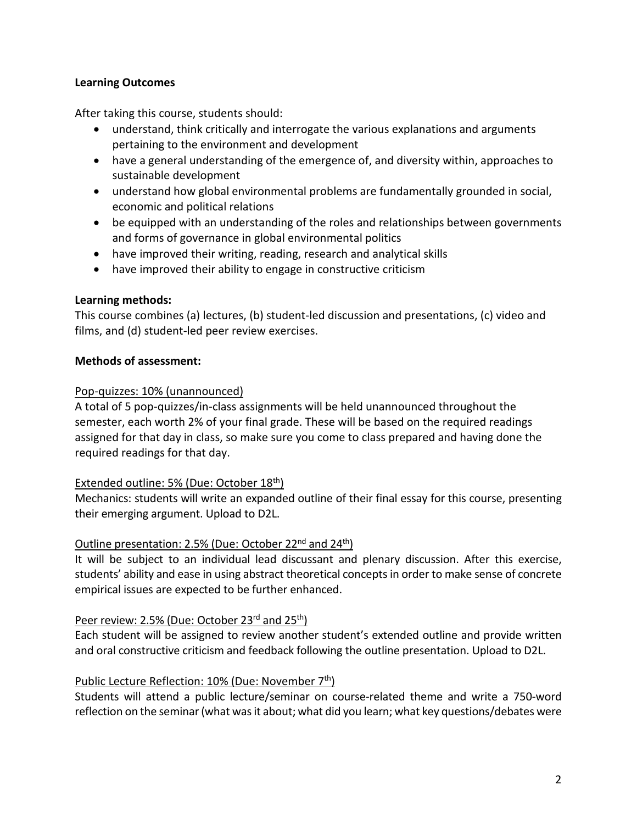## **Learning Outcomes**

After taking this course, students should:

- understand, think critically and interrogate the various explanations and arguments pertaining to the environment and development
- have a general understanding of the emergence of, and diversity within, approaches to sustainable development
- understand how global environmental problems are fundamentally grounded in social, economic and political relations
- be equipped with an understanding of the roles and relationships between governments and forms of governance in global environmental politics
- have improved their writing, reading, research and analytical skills
- have improved their ability to engage in constructive criticism

## **Learning methods:**

This course combines (a) lectures, (b) student-led discussion and presentations, (c) video and films, and (d) student-led peer review exercises.

# **Methods of assessment:**

## Pop-quizzes: 10% (unannounced)

A total of 5 pop-quizzes/in-class assignments will be held unannounced throughout the semester, each worth 2% of your final grade. These will be based on the required readings assigned for that day in class, so make sure you come to class prepared and having done the required readings for that day.

# Extended outline: 5% (Due: October 18<sup>th</sup>)

Mechanics: students will write an expanded outline of their final essay for this course, presenting their emerging argument. Upload to D2L.

# Outline presentation: 2.5% (Due: October 22<sup>nd</sup> and 24<sup>th</sup>)

It will be subject to an individual lead discussant and plenary discussion. After this exercise, students' ability and ease in using abstract theoretical concepts in order to make sense of concrete empirical issues are expected to be further enhanced.

## Peer review: 2.5% (Due: October 23<sup>rd</sup> and 25<sup>th</sup>)

Each student will be assigned to review another student's extended outline and provide written and oral constructive criticism and feedback following the outline presentation. Upload to D2L.

# Public Lecture Reflection: 10% (Due: November 7<sup>th</sup>)

Students will attend a public lecture/seminar on course-related theme and write a 750-word reflection on the seminar (what was it about; what did you learn; what key questions/debates were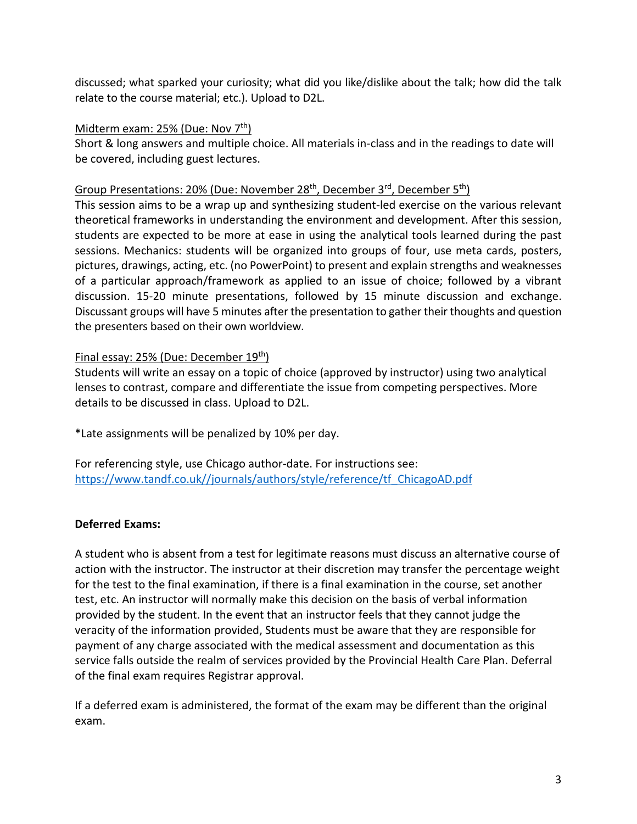discussed; what sparked your curiosity; what did you like/dislike about the talk; how did the talk relate to the course material; etc.). Upload to D2L.

## Midterm exam:  $25%$  (Due: Nov  $7<sup>th</sup>$ )

Short & long answers and multiple choice. All materials in-class and in the readings to date will be covered, including guest lectures.

## Group Presentations: 20% (Due: November 28<sup>th</sup>, December 3<sup>rd</sup>, December 5<sup>th</sup>)

This session aims to be a wrap up and synthesizing student-led exercise on the various relevant theoretical frameworks in understanding the environment and development. After this session, students are expected to be more at ease in using the analytical tools learned during the past sessions. Mechanics: students will be organized into groups of four, use meta cards, posters, pictures, drawings, acting, etc. (no PowerPoint) to present and explain strengths and weaknesses of a particular approach/framework as applied to an issue of choice; followed by a vibrant discussion. 15-20 minute presentations, followed by 15 minute discussion and exchange. Discussant groups will have 5 minutes after the presentation to gather their thoughts and question the presenters based on their own worldview.

# Final essay: 25% (Due: December 19th)

Students will write an essay on a topic of choice (approved by instructor) using two analytical lenses to contrast, compare and differentiate the issue from competing perspectives. More details to be discussed in class. Upload to D2L.

\*Late assignments will be penalized by 10% per day.

For referencing style, use Chicago author-date. For instructions see: [https://www.tandf.co.uk//journals/authors/style/reference/tf\\_ChicagoAD.pdf](https://www.tandf.co.uk/journals/authors/style/reference/tf_ChicagoAD.pdf)

# **Deferred Exams:**

A student who is absent from a test for legitimate reasons must discuss an alternative course of action with the instructor. The instructor at their discretion may transfer the percentage weight for the test to the final examination, if there is a final examination in the course, set another test, etc. An instructor will normally make this decision on the basis of verbal information provided by the student. In the event that an instructor feels that they cannot judge the veracity of the information provided, Students must be aware that they are responsible for payment of any charge associated with the medical assessment and documentation as this service falls outside the realm of services provided by the Provincial Health Care Plan. Deferral of the final exam requires Registrar approval.

If a deferred exam is administered, the format of the exam may be different than the original exam.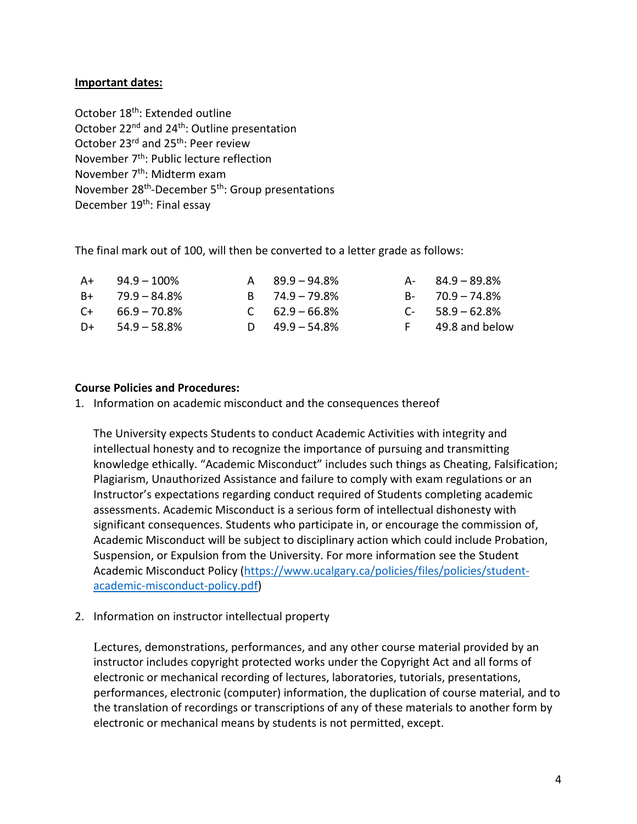### **Important dates:**

October 18<sup>th</sup>: Extended outline October 22<sup>nd</sup> and 24<sup>th</sup>: Outline presentation October 23<sup>rd</sup> and 25<sup>th</sup>: Peer review November  $7<sup>th</sup>$ : Public lecture reflection November 7<sup>th</sup>: Midterm exam November 28th-December 5th: Group presentations December 19<sup>th</sup>: Final essay

The final mark out of 100, will then be converted to a letter grade as follows:

|                                                                                     |                                                                                        | $A - 84.9 - 89.8\%$ |
|-------------------------------------------------------------------------------------|----------------------------------------------------------------------------------------|---------------------|
|                                                                                     |                                                                                        | $B - 70.9 - 74.8\%$ |
|                                                                                     |                                                                                        | $C-58.9-62.8%$      |
|                                                                                     |                                                                                        | F 49.8 and below    |
| $A+$ 94.9 – 100%<br>$B+$ 79.9 – 84.8%<br>$C_{+}$ 66.9 – 70.8%<br>$D+ 54.9 - 58.8\%$ | $A = 89.9 - 94.8\%$<br>$B = 74.9 - 79.8\%$<br>$C = 62.9 - 66.8\%$<br>D $49.9 - 54.8\%$ |                     |

### **Course Policies and Procedures:**

1. Information on academic misconduct and the consequences thereof

The University expects Students to conduct Academic Activities with integrity and intellectual honesty and to recognize the importance of pursuing and transmitting knowledge ethically. "Academic Misconduct" includes such things as Cheating, Falsification; Plagiarism, Unauthorized Assistance and failure to comply with exam regulations or an Instructor's expectations regarding conduct required of Students completing academic assessments. Academic Misconduct is a serious form of intellectual dishonesty with significant consequences. Students who participate in, or encourage the commission of, Academic Misconduct will be subject to disciplinary action which could include Probation, Suspension, or Expulsion from the University. For more information see the Student Academic Misconduct Policy [\(https://www.ucalgary.ca/policies/files/policies/student](https://www.ucalgary.ca/policies/files/policies/student-academic-misconduct-policy.pdf)[academic-misconduct-policy.pdf\)](https://www.ucalgary.ca/policies/files/policies/student-academic-misconduct-policy.pdf)

2. Information on instructor intellectual property

Lectures, demonstrations, performances, and any other course material provided by an instructor includes copyright protected works under the Copyright Act and all forms of electronic or mechanical recording of lectures, laboratories, tutorials, presentations, performances, electronic (computer) information, the duplication of course material, and to the translation of recordings or transcriptions of any of these materials to another form by electronic or mechanical means by students is not permitted, except.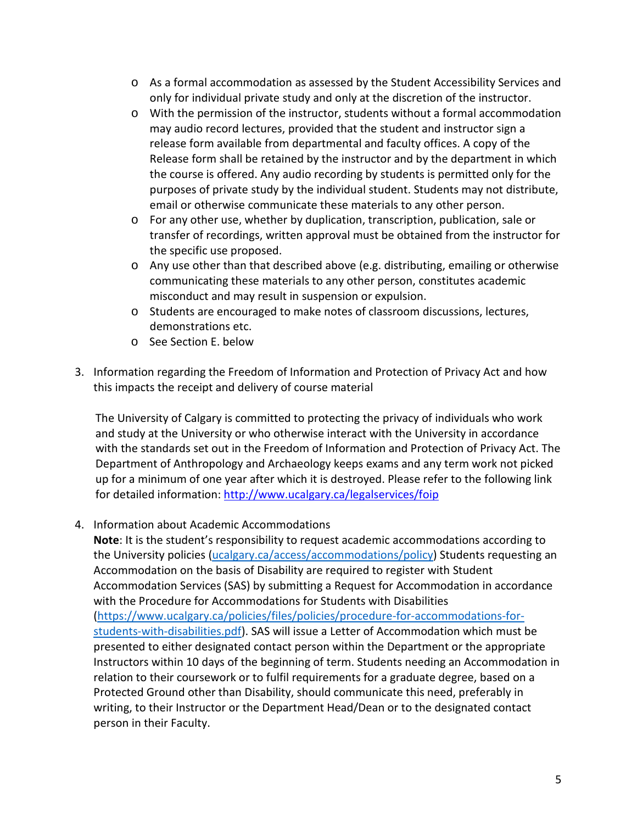- o As a formal accommodation as assessed by the Student Accessibility Services and only for individual private study and only at the discretion of the instructor.
- o With the permission of the instructor, students without a formal accommodation may audio record lectures, provided that the student and instructor sign a release form available from departmental and faculty offices. A copy of the Release form shall be retained by the instructor and by the department in which the course is offered. Any audio recording by students is permitted only for the purposes of private study by the individual student. Students may not distribute, email or otherwise communicate these materials to any other person.
- o For any other use, whether by duplication, transcription, publication, sale or transfer of recordings, written approval must be obtained from the instructor for the specific use proposed.
- o Any use other than that described above (e.g. distributing, emailing or otherwise communicating these materials to any other person, constitutes academic misconduct and may result in suspension or expulsion.
- o Students are encouraged to make notes of classroom discussions, lectures, demonstrations etc.
- o See Section E. below
- 3. Information regarding the Freedom of Information and Protection of Privacy Act and how this impacts the receipt and delivery of course material

The University of Calgary is committed to protecting the privacy of individuals who work and study at the University or who otherwise interact with the University in accordance with the standards set out in the Freedom of Information and Protection of Privacy Act. The Department of Anthropology and Archaeology keeps exams and any term work not picked up for a minimum of one year after which it is destroyed. Please refer to the following link for detailed information:<http://www.ucalgary.ca/legalservices/foip>

4. Information about Academic Accommodations

**Note**: It is the student's responsibility to request academic accommodations according to the University policies [\(ucalgary.ca/access/accommodations/policy\)](https://ucalgary.ca/access/accommodations/policy) Students requesting an Accommodation on the basis of Disability are required to register with Student Accommodation Services (SAS) by submitting a Request for Accommodation in accordance with the Procedure for Accommodations for Students with Disabilities [\(https://www.ucalgary.ca/policies/files/policies/procedure-for-accommodations-for](https://www.ucalgary.ca/policies/files/policies/procedure-for-accommodations-for-students-with-disabilities.pdf)[students-with-disabilities.pdf\)](https://www.ucalgary.ca/policies/files/policies/procedure-for-accommodations-for-students-with-disabilities.pdf). SAS will issue a Letter of Accommodation which must be presented to either designated contact person within the Department or the appropriate Instructors within 10 days of the beginning of term. Students needing an Accommodation in relation to their coursework or to fulfil requirements for a graduate degree, based on a Protected Ground other than Disability, should communicate this need, preferably in writing, to their Instructor or the Department Head/Dean or to the designated contact person in their Faculty.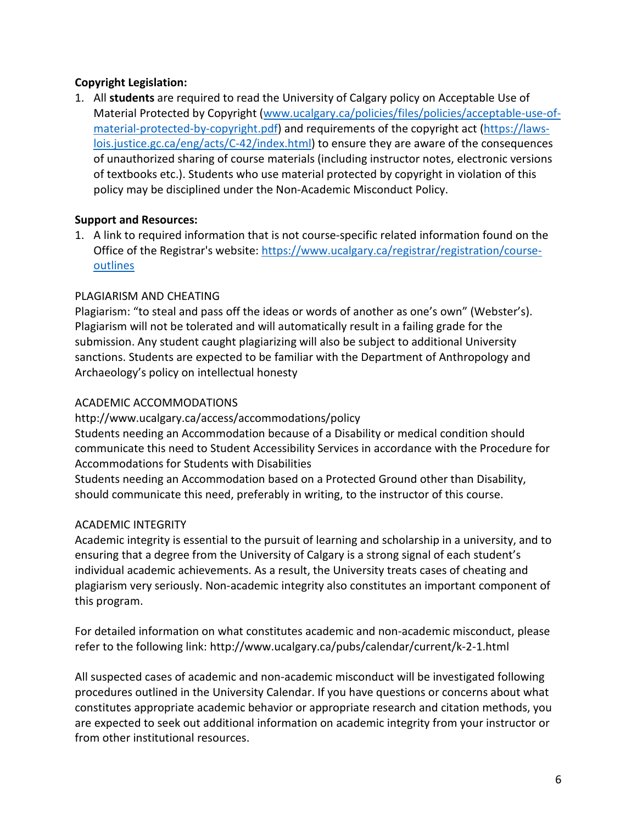## **Copyright Legislation:**

1. All **students** are required to read the University of Calgary policy on Acceptable Use of Material Protected by Copyright [\(www.ucalgary.ca/policies/files/policies/acceptable-use-of](http://www.ucalgary.ca/policies/files/policies/acceptable-use-of-material-protected-by-copyright.pdf)[material-protected-by-copyright.pdf\)](http://www.ucalgary.ca/policies/files/policies/acceptable-use-of-material-protected-by-copyright.pdf) and requirements of the copyright act [\(https://laws](https://laws-lois.justice.gc.ca/eng/acts/C-42/index.html)[lois.justice.gc.ca/eng/acts/C-42/index.html\)](https://laws-lois.justice.gc.ca/eng/acts/C-42/index.html) to ensure they are aware of the consequences of unauthorized sharing of course materials (including instructor notes, electronic versions of textbooks etc.). Students who use material protected by copyright in violation of this policy may be disciplined under the Non-Academic Misconduct Policy.

## **Support and Resources:**

1. A link to required information that is not course-specific related information found on the Office of the Registrar's website: [https://www.ucalgary.ca/registrar/registration/course](https://www.ucalgary.ca/registrar/registration/course-outlines)[outlines](https://www.ucalgary.ca/registrar/registration/course-outlines)

## PLAGIARISM AND CHEATING

Plagiarism: "to steal and pass off the ideas or words of another as one's own" (Webster's). Plagiarism will not be tolerated and will automatically result in a failing grade for the submission. Any student caught plagiarizing will also be subject to additional University sanctions. Students are expected to be familiar with the Department of Anthropology and Archaeology's policy on intellectual honesty

# ACADEMIC ACCOMMODATIONS

http://www.ucalgary.ca/access/accommodations/policy Students needing an Accommodation because of a Disability or medical condition should communicate this need to Student Accessibility Services in accordance with the Procedure for Accommodations for Students with Disabilities

Students needing an Accommodation based on a Protected Ground other than Disability, should communicate this need, preferably in writing, to the instructor of this course.

# ACADEMIC INTEGRITY

Academic integrity is essential to the pursuit of learning and scholarship in a university, and to ensuring that a degree from the University of Calgary is a strong signal of each student's individual academic achievements. As a result, the University treats cases of cheating and plagiarism very seriously. Non-academic integrity also constitutes an important component of this program.

For detailed information on what constitutes academic and non-academic misconduct, please refer to the following link: http://www.ucalgary.ca/pubs/calendar/current/k-2-1.html

All suspected cases of academic and non-academic misconduct will be investigated following procedures outlined in the University Calendar. If you have questions or concerns about what constitutes appropriate academic behavior or appropriate research and citation methods, you are expected to seek out additional information on academic integrity from your instructor or from other institutional resources.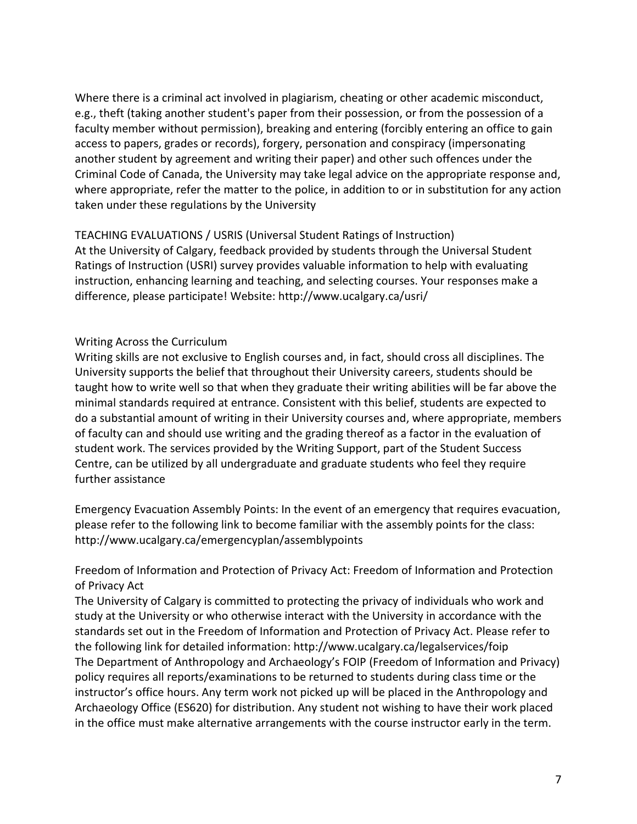Where there is a criminal act involved in plagiarism, cheating or other academic misconduct, e.g., theft (taking another student's paper from their possession, or from the possession of a faculty member without permission), breaking and entering (forcibly entering an office to gain access to papers, grades or records), forgery, personation and conspiracy (impersonating another student by agreement and writing their paper) and other such offences under the Criminal Code of Canada, the University may take legal advice on the appropriate response and, where appropriate, refer the matter to the police, in addition to or in substitution for any action taken under these regulations by the University

TEACHING EVALUATIONS / USRIS (Universal Student Ratings of Instruction) At the University of Calgary, feedback provided by students through the Universal Student Ratings of Instruction (USRI) survey provides valuable information to help with evaluating instruction, enhancing learning and teaching, and selecting courses. Your responses make a difference, please participate! Website: http://www.ucalgary.ca/usri/

## Writing Across the Curriculum

Writing skills are not exclusive to English courses and, in fact, should cross all disciplines. The University supports the belief that throughout their University careers, students should be taught how to write well so that when they graduate their writing abilities will be far above the minimal standards required at entrance. Consistent with this belief, students are expected to do a substantial amount of writing in their University courses and, where appropriate, members of faculty can and should use writing and the grading thereof as a factor in the evaluation of student work. The services provided by the Writing Support, part of the Student Success Centre, can be utilized by all undergraduate and graduate students who feel they require further assistance

Emergency Evacuation Assembly Points: In the event of an emergency that requires evacuation, please refer to the following link to become familiar with the assembly points for the class: http://www.ucalgary.ca/emergencyplan/assemblypoints

Freedom of Information and Protection of Privacy Act: Freedom of Information and Protection of Privacy Act

The University of Calgary is committed to protecting the privacy of individuals who work and study at the University or who otherwise interact with the University in accordance with the standards set out in the Freedom of Information and Protection of Privacy Act. Please refer to the following link for detailed information: http://www.ucalgary.ca/legalservices/foip The Department of Anthropology and Archaeology's FOIP (Freedom of Information and Privacy) policy requires all reports/examinations to be returned to students during class time or the instructor's office hours. Any term work not picked up will be placed in the Anthropology and Archaeology Office (ES620) for distribution. Any student not wishing to have their work placed in the office must make alternative arrangements with the course instructor early in the term.